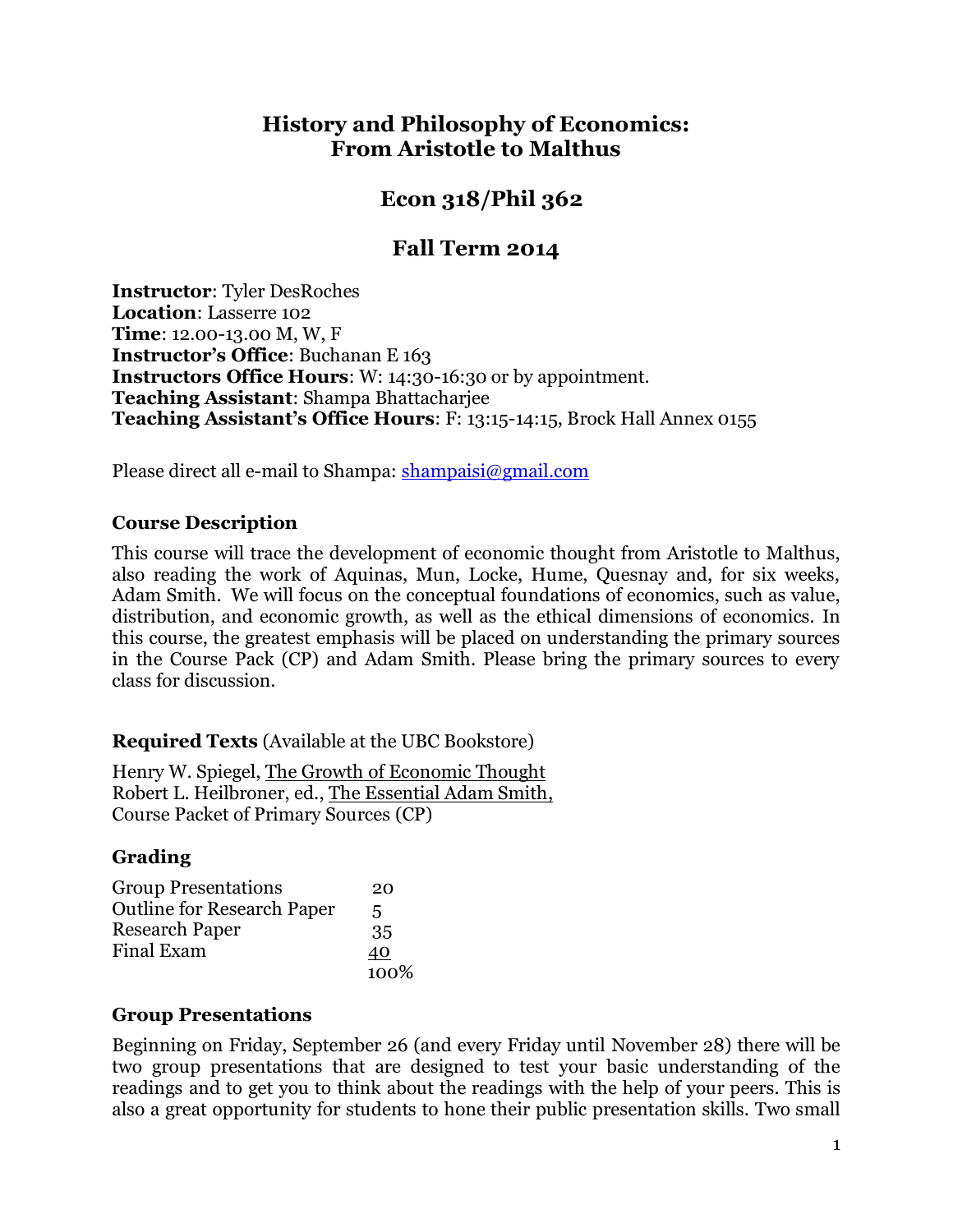## **History and Philosophy of Economics: From Aristotle to Malthus**

# **Econ 318/Phil 362**

# **Fall Term 2014**

**Instructor**: Tyler DesRoches **Location**: Lasserre 102 **Time**: 12.00-13.00 M, W, F **Instructor's Office**: Buchanan E 163 **Instructors Office Hours**: W: 14:30-16:30 or by appointment. **Teaching Assistant**: Shampa Bhattacharjee **Teaching Assistant's Office Hours**: F: 13:15-14:15, Brock Hall Annex 0155

Please direct all e-mail to Shampa: [shampaisi@gmail.com](mailto:shampaisi@gmail.com)

#### **Course Description**

This course will trace the development of economic thought from Aristotle to Malthus, also reading the work of Aquinas, Mun, Locke, Hume, Quesnay and, for six weeks, Adam Smith. We will focus on the conceptual foundations of economics, such as value, distribution, and economic growth, as well as the ethical dimensions of economics. In this course, the greatest emphasis will be placed on understanding the primary sources in the Course Pack (CP) and Adam Smith. Please bring the primary sources to every class for discussion.

#### **Required Texts** (Available at the UBC Bookstore)

Henry W. Spiegel, The Growth of Economic Thought Robert L. Heilbroner, ed., The Essential Adam Smith, Course Packet of Primary Sources (CP)

#### **Grading**

| <b>Group Presentations</b>        | 20   |
|-----------------------------------|------|
| <b>Outline for Research Paper</b> | 5    |
| <b>Research Paper</b>             | 35   |
| <b>Final Exam</b>                 | 40   |
|                                   | 100% |

#### **Group Presentations**

Beginning on Friday, September 26 (and every Friday until November 28) there will be two group presentations that are designed to test your basic understanding of the readings and to get you to think about the readings with the help of your peers. This is also a great opportunity for students to hone their public presentation skills. Two small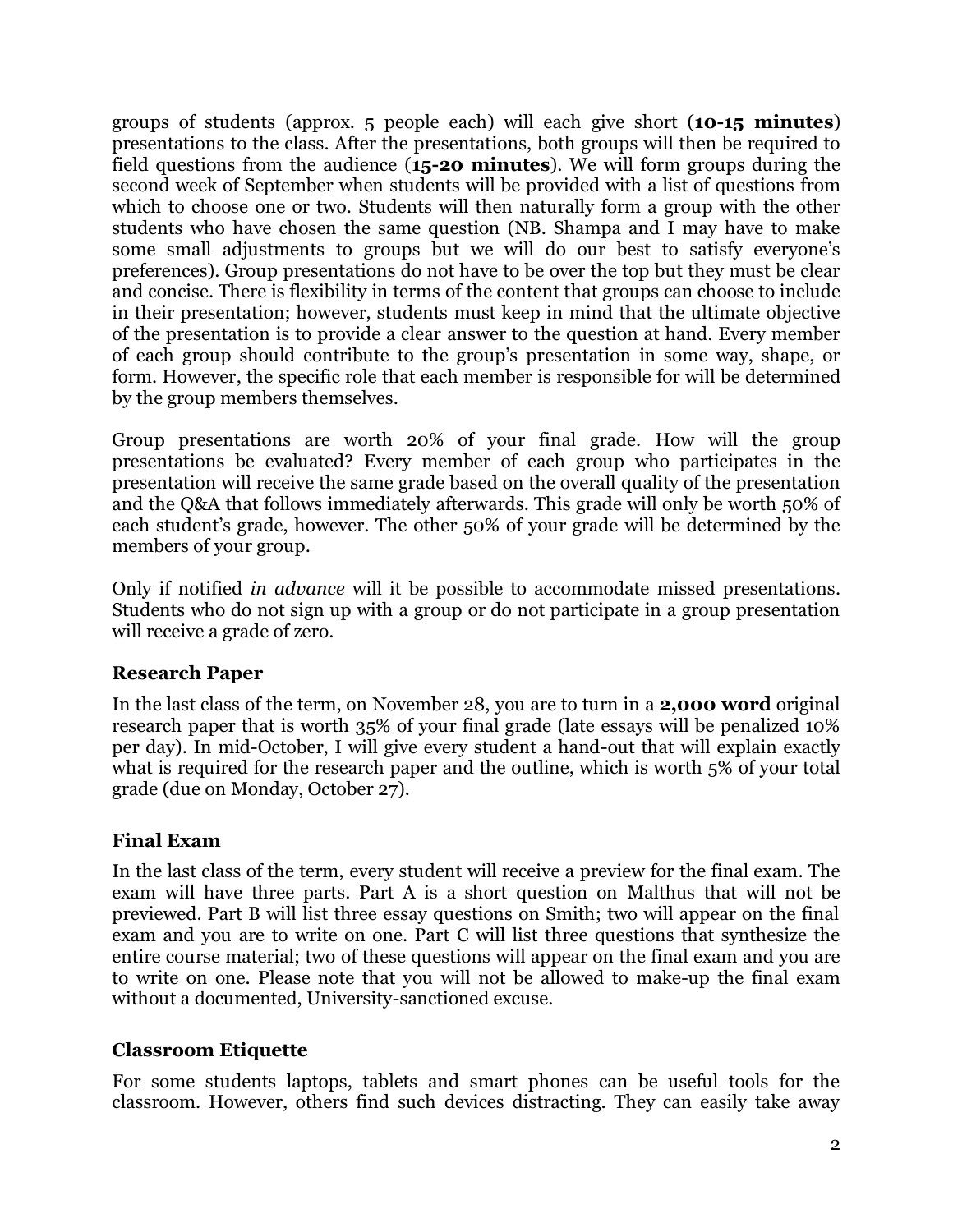groups of students (approx. 5 people each) will each give short (**10-15 minutes**) presentations to the class. After the presentations, both groups will then be required to field questions from the audience (**15-20 minutes**). We will form groups during the second week of September when students will be provided with a list of questions from which to choose one or two. Students will then naturally form a group with the other students who have chosen the same question (NB. Shampa and I may have to make some small adjustments to groups but we will do our best to satisfy everyone's preferences). Group presentations do not have to be over the top but they must be clear and concise. There is flexibility in terms of the content that groups can choose to include in their presentation; however, students must keep in mind that the ultimate objective of the presentation is to provide a clear answer to the question at hand. Every member of each group should contribute to the group's presentation in some way, shape, or form. However, the specific role that each member is responsible for will be determined by the group members themselves.

Group presentations are worth 20% of your final grade. How will the group presentations be evaluated? Every member of each group who participates in the presentation will receive the same grade based on the overall quality of the presentation and the Q&A that follows immediately afterwards. This grade will only be worth 50% of each student's grade, however. The other 50% of your grade will be determined by the members of your group.

Only if notified *in advance* will it be possible to accommodate missed presentations. Students who do not sign up with a group or do not participate in a group presentation will receive a grade of zero.

#### **Research Paper**

In the last class of the term, on November 28, you are to turn in a **2,000 word** original research paper that is worth 35% of your final grade (late essays will be penalized 10% per day). In mid-October, I will give every student a hand-out that will explain exactly what is required for the research paper and the outline, which is worth 5% of your total grade (due on Monday, October 27).

#### **Final Exam**

In the last class of the term, every student will receive a preview for the final exam. The exam will have three parts. Part A is a short question on Malthus that will not be previewed. Part B will list three essay questions on Smith; two will appear on the final exam and you are to write on one. Part C will list three questions that synthesize the entire course material; two of these questions will appear on the final exam and you are to write on one. Please note that you will not be allowed to make-up the final exam without a documented, University-sanctioned excuse.

#### **Classroom Etiquette**

For some students laptops, tablets and smart phones can be useful tools for the classroom. However, others find such devices distracting. They can easily take away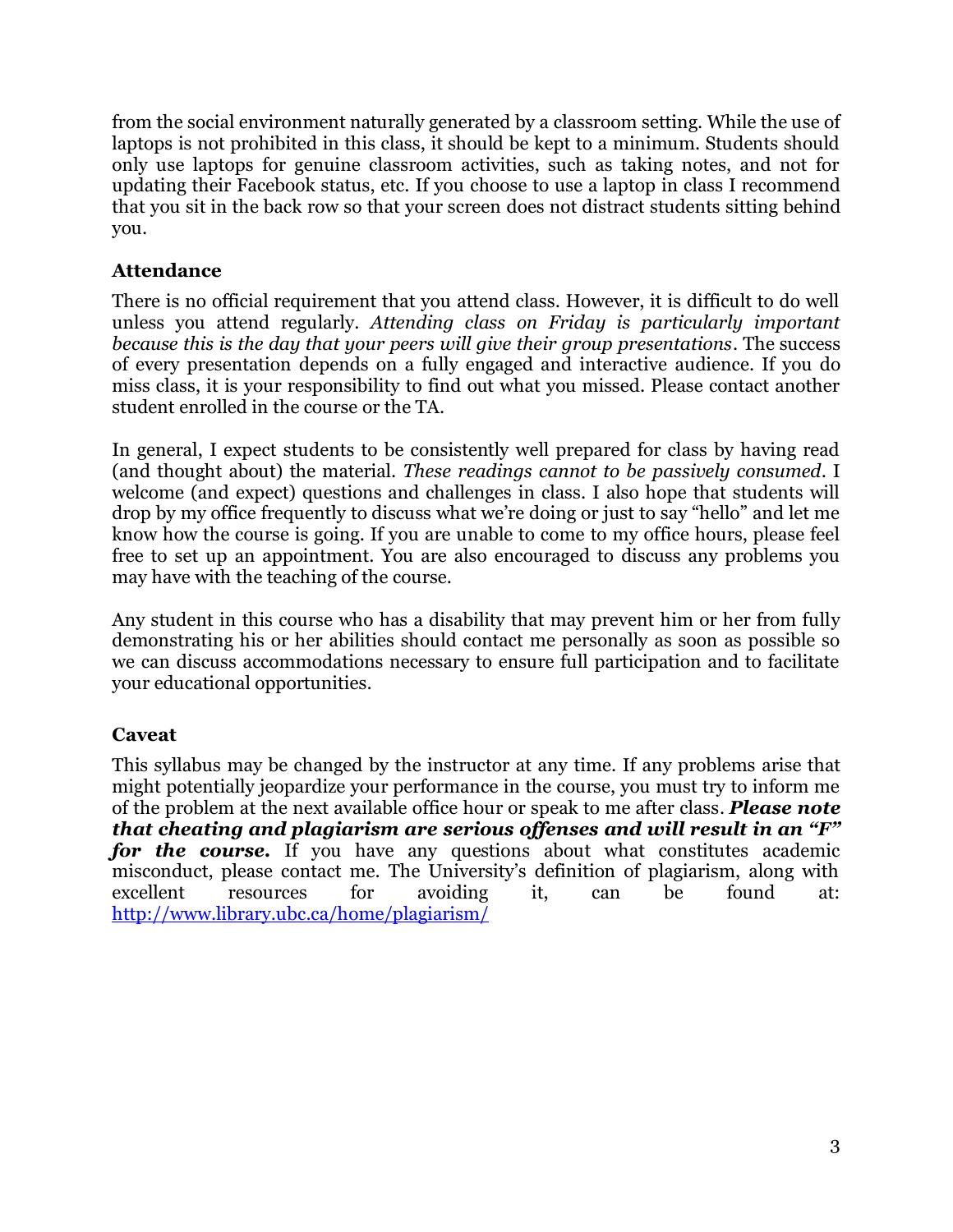from the social environment naturally generated by a classroom setting. While the use of laptops is not prohibited in this class, it should be kept to a minimum. Students should only use laptops for genuine classroom activities, such as taking notes, and not for updating their Facebook status, etc. If you choose to use a laptop in class I recommend that you sit in the back row so that your screen does not distract students sitting behind you.

### **Attendance**

There is no official requirement that you attend class. However, it is difficult to do well unless you attend regularly. *Attending class on Friday is particularly important because this is the day that your peers will give their group presentations*. The success of every presentation depends on a fully engaged and interactive audience. If you do miss class, it is your responsibility to find out what you missed. Please contact another student enrolled in the course or the TA.

In general, I expect students to be consistently well prepared for class by having read (and thought about) the material. *These readings cannot to be passively consumed*. I welcome (and expect) questions and challenges in class. I also hope that students will drop by my office frequently to discuss what we're doing or just to say "hello" and let me know how the course is going. If you are unable to come to my office hours, please feel free to set up an appointment. You are also encouraged to discuss any problems you may have with the teaching of the course.

Any student in this course who has a disability that may prevent him or her from fully demonstrating his or her abilities should contact me personally as soon as possible so we can discuss accommodations necessary to ensure full participation and to facilitate your educational opportunities.

### **Caveat**

This syllabus may be changed by the instructor at any time. If any problems arise that might potentially jeopardize your performance in the course, you must try to inform me of the problem at the next available office hour or speak to me after class. *Please note that cheating and plagiarism are serious offenses and will result in an "F" for the course.* If you have any questions about what constitutes academic misconduct, please contact me. The University's definition of plagiarism, along with excellent resources for avoiding it, can be found at: <http://www.library.ubc.ca/home/plagiarism/>